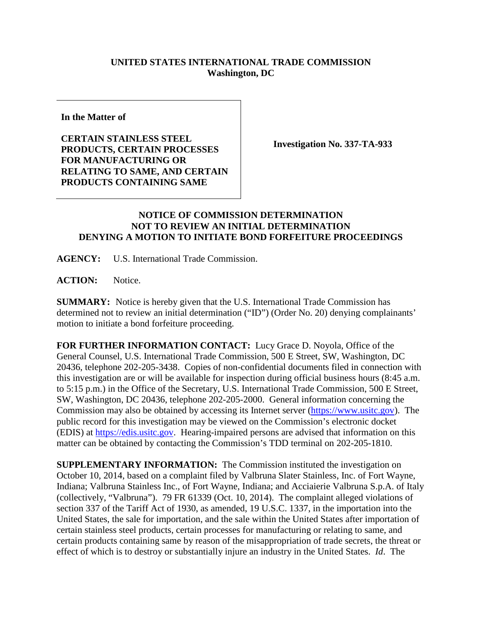## **UNITED STATES INTERNATIONAL TRADE COMMISSION Washington, DC**

**In the Matter of**

**CERTAIN STAINLESS STEEL PRODUCTS, CERTAIN PROCESSES FOR MANUFACTURING OR RELATING TO SAME, AND CERTAIN PRODUCTS CONTAINING SAME** 

**Investigation No. 337-TA-933**

## **NOTICE OF COMMISSION DETERMINATION NOT TO REVIEW AN INITIAL DETERMINATION DENYING A MOTION TO INITIATE BOND FORFEITURE PROCEEDINGS**

**AGENCY:** U.S. International Trade Commission.

**ACTION:** Notice.

**SUMMARY:** Notice is hereby given that the U.S. International Trade Commission has determined not to review an initial determination ("ID") (Order No. 20) denying complainants' motion to initiate a bond forfeiture proceeding.

**FOR FURTHER INFORMATION CONTACT:** Lucy Grace D. Noyola, Office of the General Counsel, U.S. International Trade Commission, 500 E Street, SW, Washington, DC 20436, telephone 202-205-3438. Copies of non-confidential documents filed in connection with this investigation are or will be available for inspection during official business hours (8:45 a.m. to 5:15 p.m.) in the Office of the Secretary, U.S. International Trade Commission, 500 E Street, SW, Washington, DC 20436, telephone 202-205-2000. General information concerning the Commission may also be obtained by accessing its Internet server [\(https://www.usitc.gov\)](https://www.usitc.gov/). The public record for this investigation may be viewed on the Commission's electronic docket (EDIS) at [https://edis.usitc.gov.](https://edis.usitc.gov/) Hearing-impaired persons are advised that information on this matter can be obtained by contacting the Commission's TDD terminal on 202-205-1810.

**SUPPLEMENTARY INFORMATION:** The Commission instituted the investigation on October 10, 2014, based on a complaint filed by Valbruna Slater Stainless, Inc. of Fort Wayne, Indiana; Valbruna Stainless Inc., of Fort Wayne, Indiana; and Acciaierie Valbruna S.p.A. of Italy (collectively, "Valbruna"). 79 FR 61339 (Oct. 10, 2014). The complaint alleged violations of section 337 of the Tariff Act of 1930, as amended, 19 U.S.C. 1337, in the importation into the United States, the sale for importation, and the sale within the United States after importation of certain stainless steel products, certain processes for manufacturing or relating to same, and certain products containing same by reason of the misappropriation of trade secrets, the threat or effect of which is to destroy or substantially injure an industry in the United States. *Id*. The